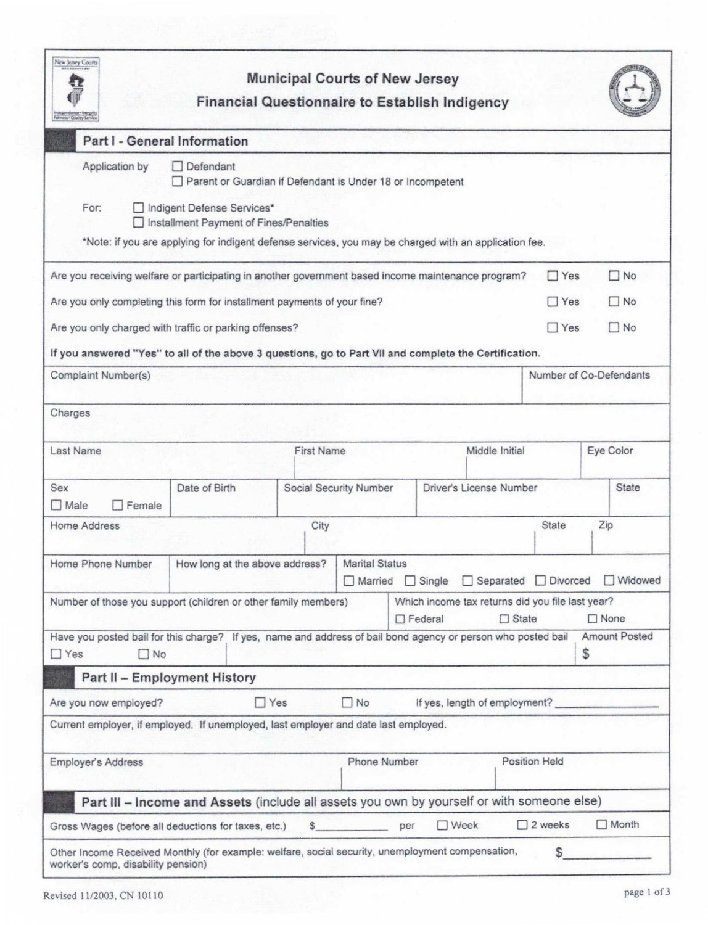| New Jersey Courts                                                                                                                       |                                                                                                       |            |                   | <b>Municipal Courts of New Jersey</b> |                | <b>Financial Questionnaire to Establish Indigency</b> |                  |               |                         |                      |  |
|-----------------------------------------------------------------------------------------------------------------------------------------|-------------------------------------------------------------------------------------------------------|------------|-------------------|---------------------------------------|----------------|-------------------------------------------------------|------------------|---------------|-------------------------|----------------------|--|
| Part I - General Information                                                                                                            |                                                                                                       |            |                   |                                       |                |                                                       |                  |               |                         |                      |  |
| Application by                                                                                                                          | Defendant<br>Parent or Guardian if Defendant is Under 18 or Incompetent                               |            |                   |                                       |                |                                                       |                  |               |                         |                      |  |
| For:                                                                                                                                    | Indigent Defense Services*<br>□ Installment Payment of Fines/Penalties                                |            |                   |                                       |                |                                                       |                  |               |                         |                      |  |
|                                                                                                                                         | *Note: if you are applying for indigent defense services, you may be charged with an application fee. |            |                   |                                       |                |                                                       |                  |               |                         |                      |  |
| Are you receiving welfare or participating in another government based income maintenance program?                                      |                                                                                                       |            |                   |                                       |                |                                                       |                  | $\Box$ Yes    | $\Box$ No               |                      |  |
| Are you only completing this form for installment payments of your fine?                                                                |                                                                                                       |            |                   |                                       |                |                                                       | $\Box$ No<br>Yes |               |                         |                      |  |
| Are you only charged with traffic or parking offenses?                                                                                  |                                                                                                       |            |                   |                                       |                |                                                       |                  | $\Box$ Yes    |                         | $\Box$ No            |  |
| If you answered "Yes" to all of the above 3 questions, go to Part VII and complete the Certification.                                   |                                                                                                       |            |                   |                                       |                |                                                       |                  |               |                         |                      |  |
| Complaint Number(s)                                                                                                                     |                                                                                                       |            |                   |                                       |                |                                                       |                  |               | Number of Co-Defendants |                      |  |
| Charges                                                                                                                                 |                                                                                                       |            |                   |                                       |                |                                                       |                  |               |                         |                      |  |
| Last Name                                                                                                                               |                                                                                                       |            | <b>First Name</b> |                                       |                | Middle Initial                                        |                  |               |                         | Eye Color            |  |
| Sex<br>Male<br>$\Box$ Female                                                                                                            | Date of Birth                                                                                         |            |                   | Social Security Number                |                | Driver's License Number                               |                  |               |                         | <b>State</b>         |  |
| Home Address                                                                                                                            |                                                                                                       |            | City              |                                       |                |                                                       |                  | State         | Zip                     |                      |  |
| Home Phone Number                                                                                                                       | How long at the above address?                                                                        |            |                   | <b>Marital Status</b>                 |                | □ Married □ Single □ Separated □ Divorced □ Widowed   |                  |               |                         |                      |  |
| Number of those you support (children or other family members)                                                                          |                                                                                                       |            |                   |                                       | $\Box$ Federal | Which income tax returns did you file last year?      | $\Box$ State     |               | $\Box$ None             |                      |  |
| Have you posted bail for this charge? If yes, name and address of bail bond agency or person who posted bail<br>$\Box$ Yes<br>$\Box$ No |                                                                                                       |            |                   |                                       |                |                                                       |                  |               | \$                      | <b>Amount Posted</b> |  |
| Part II - Employment History                                                                                                            |                                                                                                       |            |                   |                                       |                |                                                       |                  |               |                         |                      |  |
| Are you now employed?                                                                                                                   |                                                                                                       | $\Box$ Yes |                   | $\neg$ No                             |                | If yes, length of employment?                         |                  |               |                         |                      |  |
| Current employer, if employed. If unemployed, last employer and date last employed.                                                     |                                                                                                       |            |                   |                                       |                |                                                       |                  |               |                         |                      |  |
| <b>Employer's Address</b>                                                                                                               |                                                                                                       |            |                   | Phone Number                          |                |                                                       |                  | Position Held |                         |                      |  |
| Part III - Income and Assets (include all assets you own by yourself or with someone else)                                              |                                                                                                       |            |                   |                                       |                |                                                       |                  |               |                         |                      |  |
|                                                                                                                                         |                                                                                                       |            |                   |                                       |                |                                                       |                  |               |                         |                      |  |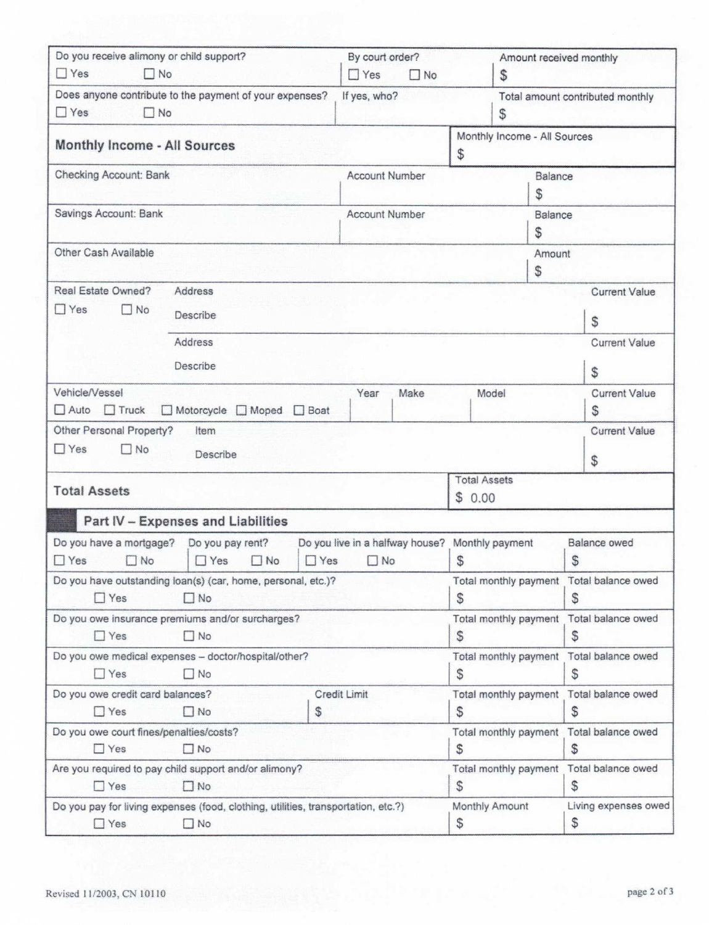| Do you receive alimony or child support?<br>$\Box$ Yes<br>$\Box$ No                                              | By court order?<br>$\Box$ Yes                | S                                                  | Amount received monthly          |                                               |                                               |  |
|------------------------------------------------------------------------------------------------------------------|----------------------------------------------|----------------------------------------------------|----------------------------------|-----------------------------------------------|-----------------------------------------------|--|
| Does anyone contribute to the payment of your expenses?<br>$\Box$ Yes<br>$\Box$ No                               | If yes, who?                                 | S                                                  | Total amount contributed monthly |                                               |                                               |  |
| Monthly Income - All Sources                                                                                     |                                              | Monthly Income - All Sources<br>\$                 |                                  |                                               |                                               |  |
| Checking Account: Bank                                                                                           | <b>Account Number</b>                        |                                                    | Balance<br>\$                    |                                               |                                               |  |
| Savings Account: Bank                                                                                            | <b>Account Number</b>                        |                                                    | Balance<br>\$                    |                                               |                                               |  |
| Other Cash Available                                                                                             |                                              |                                                    |                                  | Amount<br>$\mathcal{S}$                       |                                               |  |
| Real Estate Owned?<br>Address                                                                                    |                                              |                                                    |                                  |                                               | <b>Current Value</b>                          |  |
| $\Box$ Yes<br>$\Box$ No<br>Describe                                                                              |                                              |                                                    |                                  |                                               | \$                                            |  |
| Address<br>Describe                                                                                              |                                              |                                                    |                                  |                                               | <b>Current Value</b><br>\$                    |  |
| Vehicle/Vessel<br>$\Box$ Auto $\Box$ Truck<br>□ Motorcycle □ Moped □ Boat                                        | Year                                         | Make                                               | Model                            |                                               | <b>Current Value</b><br>S                     |  |
| Other Personal Property?<br>Item<br>$\Box$ Yes<br>$\Box$ No<br>Describe                                          |                                              |                                                    |                                  |                                               | <b>Current Value</b><br>\$                    |  |
| <b>Total Assets</b>                                                                                              |                                              | <b>Total Assets</b><br>\$0.00                      |                                  |                                               |                                               |  |
| Part IV - Expenses and Liabilities                                                                               |                                              |                                                    |                                  |                                               |                                               |  |
| Do you have a mortgage?<br>Do you pay rent?<br>$\Box$ Yes<br><b>TYes</b><br>$\Box$ No<br>$\Box$ Yes<br>$\Box$ No | Do you live in a halfway house?<br>$\Box$ No |                                                    | Monthly payment<br>\$            |                                               | Balance owed<br>\$                            |  |
| Do you have outstanding loan(s) (car, home, personal, etc.)?<br>$\Box$ Yes<br>$\Box$ No                          |                                              | S                                                  |                                  | Total monthly payment Total balance owed<br>S |                                               |  |
| Do you owe insurance premiums and/or surcharges?<br>$\Box$ No<br>$\Box$ Yes                                      |                                              | Total monthly payment Total balance owed<br>S<br>S |                                  |                                               |                                               |  |
| Do you owe medical expenses - doctor/hospital/other?<br>$\Box$ Yes<br>$\square$ No                               |                                              | Total monthly payment<br>S<br>S                    |                                  | Total balance owed                            |                                               |  |
| Do you owe credit card balances?<br>Credit Limit                                                                 |                                              | Total monthly payment<br>Total balance owed        |                                  |                                               |                                               |  |
| $\Box$ Yes<br>$\Box$ No<br>\$                                                                                    |                                              | \$                                                 | \$                               |                                               |                                               |  |
| Do you owe court fines/penalties/costs?<br>$\Box$ Yes<br>$\Box$ No                                               |                                              |                                                    | \$                               |                                               | Total monthly payment Total balance owed<br>S |  |
| Are you required to pay child support and/or alimony?<br>$\Box$ Yes<br>$\Box$ No                                 |                                              |                                                    | Total monthly payment<br>S       |                                               | Total balance owed<br>\$                      |  |
| Do you pay for living expenses (food, clothing, utilities, transportation, etc.?)<br>$\Box$ Yes<br>$\Box$ No     |                                              | Monthly Amount<br>Living expenses owed<br>\$<br>\$ |                                  |                                               |                                               |  |